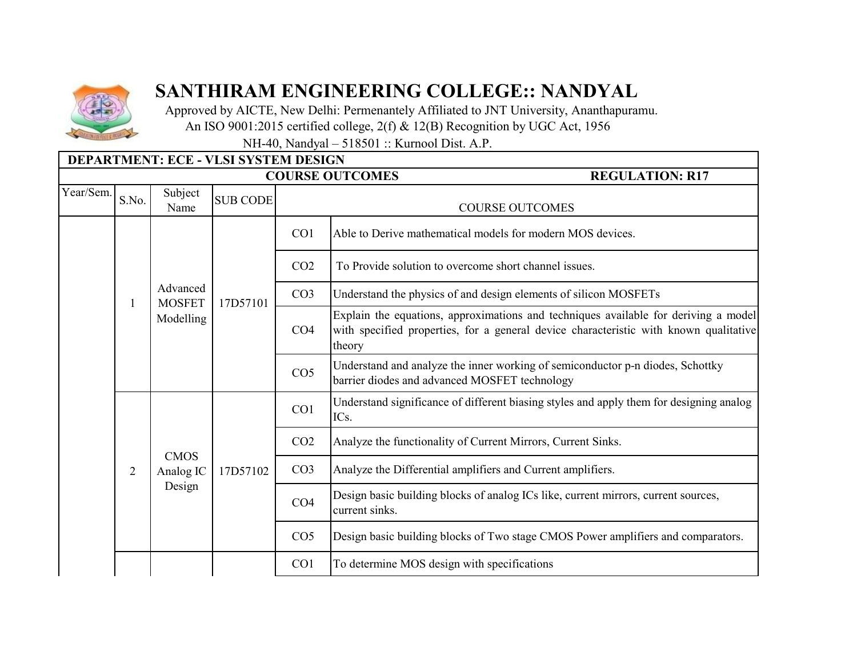

## **SANTHIRAM ENGINEERING COLLEGE:: NANDYAL**

 Approved by AICTE, New Delhi: Permenantely Affiliated to JNT University, Ananthapuramu. An ISO 9001:2015 certified college, 2(f) & 12(B) Recognition by UGC Act, 1956

NH-40, Nandyal – 518501 :: Kurnool Dist. A.P.

|                                                  | DEPARTMENT: ECE - VLSI SYSTEM DESIGN |                                    |                 |                        |                                                                                                                                                                                        |  |  |  |
|--------------------------------------------------|--------------------------------------|------------------------------------|-----------------|------------------------|----------------------------------------------------------------------------------------------------------------------------------------------------------------------------------------|--|--|--|
| <b>COURSE OUTCOMES</b><br><b>REGULATION: R17</b> |                                      |                                    |                 |                        |                                                                                                                                                                                        |  |  |  |
| Year/Sem.                                        | S.No.                                | Subject<br>Name                    | <b>SUB CODE</b> | <b>COURSE OUTCOMES</b> |                                                                                                                                                                                        |  |  |  |
|                                                  |                                      |                                    | 17D57101        | CO <sub>1</sub>        | Able to Derive mathematical models for modern MOS devices.                                                                                                                             |  |  |  |
|                                                  |                                      |                                    |                 | CO <sub>2</sub>        | To Provide solution to overcome short channel issues.                                                                                                                                  |  |  |  |
|                                                  |                                      | Advanced<br><b>MOSFET</b>          |                 | CO <sub>3</sub>        | Understand the physics of and design elements of silicon MOSFETs                                                                                                                       |  |  |  |
|                                                  |                                      | Modelling                          |                 | CO <sub>4</sub>        | Explain the equations, approximations and techniques available for deriving a model<br>with specified properties, for a general device characteristic with known qualitative<br>theory |  |  |  |
|                                                  |                                      |                                    |                 | CO <sub>5</sub>        | Understand and analyze the inner working of semiconductor p-n diodes, Schottky<br>barrier diodes and advanced MOSFET technology                                                        |  |  |  |
|                                                  |                                      |                                    |                 | CO1                    | Understand significance of different biasing styles and apply them for designing analog<br>ICs.                                                                                        |  |  |  |
|                                                  | $\overline{2}$                       | <b>CMOS</b><br>Analog IC<br>Design | 17D57102        | CO <sub>2</sub>        | Analyze the functionality of Current Mirrors, Current Sinks.                                                                                                                           |  |  |  |
|                                                  |                                      |                                    |                 | CO <sub>3</sub>        | Analyze the Differential amplifiers and Current amplifiers.                                                                                                                            |  |  |  |
|                                                  |                                      |                                    |                 | CO <sub>4</sub>        | Design basic building blocks of analog ICs like, current mirrors, current sources,<br>current sinks.                                                                                   |  |  |  |
|                                                  |                                      |                                    |                 | CO <sub>5</sub>        | Design basic building blocks of Two stage CMOS Power amplifiers and comparators.                                                                                                       |  |  |  |
|                                                  |                                      |                                    |                 | CO <sub>1</sub>        | To determine MOS design with specifications                                                                                                                                            |  |  |  |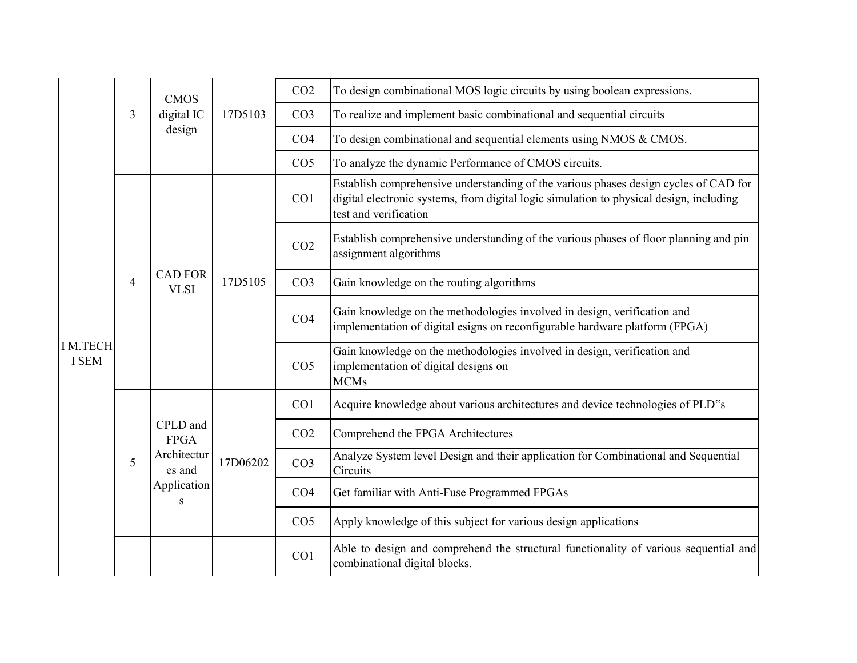|                                | 3              | <b>CMOS</b><br>digital IC                                            | 17D5103  | CO <sub>2</sub> | To design combinational MOS logic circuits by using boolean expressions.                                                                                                                                 |
|--------------------------------|----------------|----------------------------------------------------------------------|----------|-----------------|----------------------------------------------------------------------------------------------------------------------------------------------------------------------------------------------------------|
|                                |                |                                                                      |          | CO <sub>3</sub> | To realize and implement basic combinational and sequential circuits                                                                                                                                     |
|                                |                | design                                                               |          | CO <sub>4</sub> | To design combinational and sequential elements using NMOS $& CMOS$ .                                                                                                                                    |
|                                |                |                                                                      |          | CO <sub>5</sub> | To analyze the dynamic Performance of CMOS circuits.                                                                                                                                                     |
|                                | $\overline{4}$ | <b>CAD FOR</b><br><b>VLSI</b>                                        | 17D5105  | CO <sub>1</sub> | Establish comprehensive understanding of the various phases design cycles of CAD for<br>digital electronic systems, from digital logic simulation to physical design, including<br>test and verification |
|                                |                |                                                                      |          | CO <sub>2</sub> | Establish comprehensive understanding of the various phases of floor planning and pin<br>assignment algorithms                                                                                           |
|                                |                |                                                                      |          | CO <sub>3</sub> | Gain knowledge on the routing algorithms                                                                                                                                                                 |
| <b>IM.TECH</b><br><b>I SEM</b> |                |                                                                      |          | CO <sub>4</sub> | Gain knowledge on the methodologies involved in design, verification and<br>implementation of digital esigns on reconfigurable hardware platform (FPGA)                                                  |
|                                |                |                                                                      |          | CO <sub>5</sub> | Gain knowledge on the methodologies involved in design, verification and<br>implementation of digital designs on<br><b>MCMs</b>                                                                          |
|                                | 5              | CPLD and<br><b>FPGA</b><br>Architectur<br>es and<br>Application<br>S | 17D06202 | CO <sub>1</sub> | Acquire knowledge about various architectures and device technologies of PLD"s                                                                                                                           |
|                                |                |                                                                      |          | CO <sub>2</sub> | Comprehend the FPGA Architectures                                                                                                                                                                        |
|                                |                |                                                                      |          | CO <sub>3</sub> | Analyze System level Design and their application for Combinational and Sequential<br>Circuits                                                                                                           |
|                                |                |                                                                      |          | CO <sub>4</sub> | Get familiar with Anti-Fuse Programmed FPGAs                                                                                                                                                             |
|                                |                |                                                                      |          | CO <sub>5</sub> | Apply knowledge of this subject for various design applications                                                                                                                                          |
|                                |                |                                                                      |          | CO <sub>1</sub> | Able to design and comprehend the structural functionality of various sequential and<br>combinational digital blocks.                                                                                    |
|                                |                |                                                                      |          |                 |                                                                                                                                                                                                          |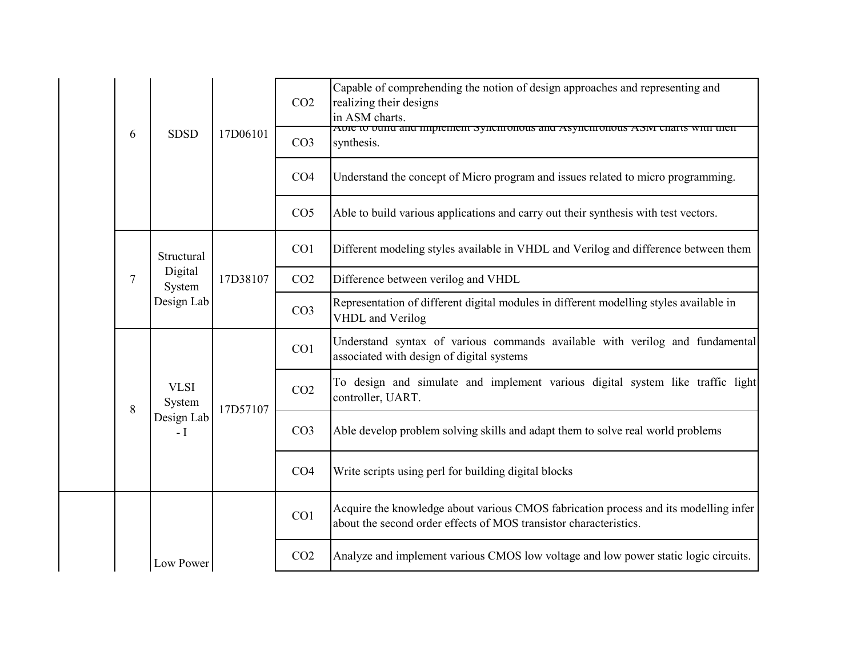| 6 | <b>SDSD</b>                                   | 17D06101 | CO <sub>2</sub><br>CO <sub>3</sub> | Capable of comprehending the notion of design approaches and representing and<br>realizing their designs<br>in ASM charts.<br>Able to build and implement synchronous and Asynchronous ASM charts with their<br>synthesis. |
|---|-----------------------------------------------|----------|------------------------------------|----------------------------------------------------------------------------------------------------------------------------------------------------------------------------------------------------------------------------|
|   |                                               |          | CO <sub>4</sub>                    | Understand the concept of Micro program and issues related to micro programming.                                                                                                                                           |
|   |                                               |          | CO <sub>5</sub>                    | Able to build various applications and carry out their synthesis with test vectors.                                                                                                                                        |
|   | Structural<br>Digital<br>System<br>Design Lab | 17D38107 | CO <sub>1</sub>                    | Different modeling styles available in VHDL and Verilog and difference between them                                                                                                                                        |
| 7 |                                               |          | CO <sub>2</sub>                    | Difference between verilog and VHDL                                                                                                                                                                                        |
|   |                                               |          | CO <sub>3</sub>                    | Representation of different digital modules in different modelling styles available in<br>VHDL and Verilog                                                                                                                 |
|   |                                               | 17D57107 | CO1                                | Understand syntax of various commands available with verilog and fundamental<br>associated with design of digital systems                                                                                                  |
| 8 | <b>VLSI</b><br>System                         |          | CO <sub>2</sub>                    | To design and simulate and implement various digital system like traffic light<br>controller, UART.                                                                                                                        |
|   | Design Lab<br>$-I$                            |          | CO <sub>3</sub>                    | Able develop problem solving skills and adapt them to solve real world problems                                                                                                                                            |
|   |                                               |          | CO <sub>4</sub>                    | Write scripts using perl for building digital blocks                                                                                                                                                                       |
|   |                                               |          | CO1                                | Acquire the knowledge about various CMOS fabrication process and its modelling infer<br>about the second order effects of MOS transistor characteristics.                                                                  |
|   | Low Power                                     |          | CO <sub>2</sub>                    | Analyze and implement various CMOS low voltage and low power static logic circuits.                                                                                                                                        |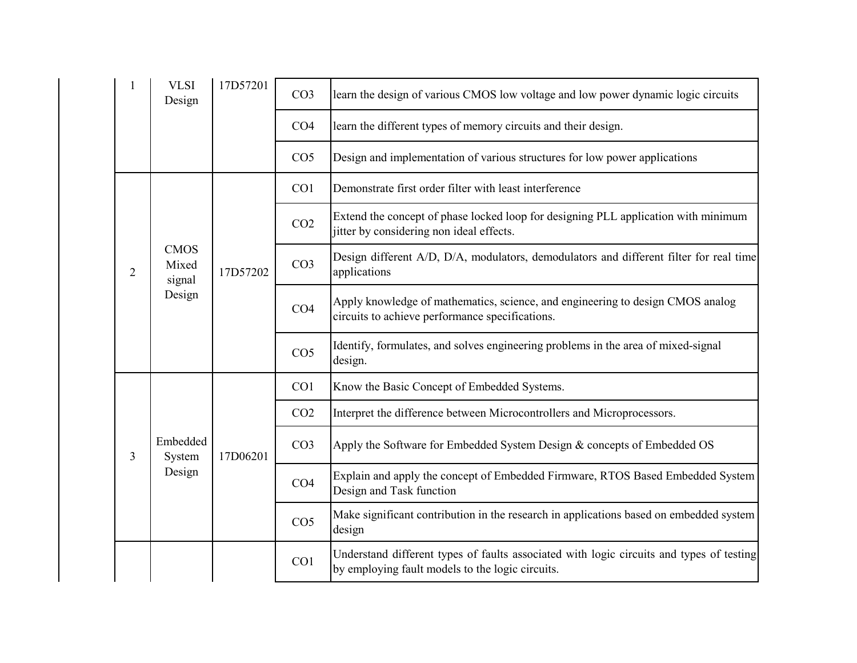|   | <b>VLSI</b><br>Design          | 17D57201 | CO <sub>3</sub> | learn the design of various CMOS low voltage and low power dynamic logic circuits                                                            |
|---|--------------------------------|----------|-----------------|----------------------------------------------------------------------------------------------------------------------------------------------|
|   |                                |          | CO <sub>4</sub> | learn the different types of memory circuits and their design.                                                                               |
|   |                                |          | CO <sub>5</sub> | Design and implementation of various structures for low power applications                                                                   |
|   |                                |          | CO <sub>1</sub> | Demonstrate first order filter with least interference                                                                                       |
|   |                                | 17D57202 | CO <sub>2</sub> | Extend the concept of phase locked loop for designing PLL application with minimum<br>jitter by considering non ideal effects.               |
| 2 | <b>CMOS</b><br>Mixed<br>signal |          | CO <sub>3</sub> | Design different A/D, D/A, modulators, demodulators and different filter for real time<br>applications                                       |
|   | Design                         |          | CO <sub>4</sub> | Apply knowledge of mathematics, science, and engineering to design CMOS analog<br>circuits to achieve performance specifications.            |
|   |                                |          | CO <sub>5</sub> | Identify, formulates, and solves engineering problems in the area of mixed-signal<br>design.                                                 |
|   | Embedded<br>System             |          | CO <sub>1</sub> | Know the Basic Concept of Embedded Systems.                                                                                                  |
|   |                                |          | CO <sub>2</sub> | Interpret the difference between Microcontrollers and Microprocessors.                                                                       |
| 3 |                                | 17D06201 | CO <sub>3</sub> | Apply the Software for Embedded System Design & concepts of Embedded OS                                                                      |
|   | Design                         |          | CO <sub>4</sub> | Explain and apply the concept of Embedded Firmware, RTOS Based Embedded System<br>Design and Task function                                   |
|   |                                |          | CO <sub>5</sub> | Make significant contribution in the research in applications based on embedded system<br>design                                             |
|   |                                |          | CO1             | Understand different types of faults associated with logic circuits and types of testing<br>by employing fault models to the logic circuits. |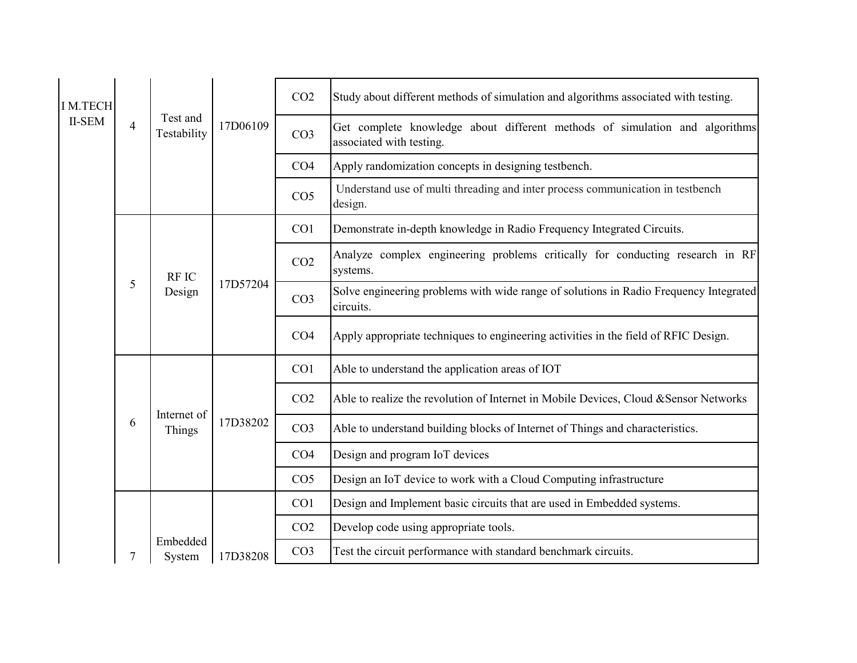| <b>IM.TECH</b> |                |                         |          | CO <sub>2</sub> | Study about different methods of simulation and algorithms associated with testing.                     |
|----------------|----------------|-------------------------|----------|-----------------|---------------------------------------------------------------------------------------------------------|
| <b>II-SEM</b>  | $\overline{4}$ | Test and<br>Testability | 17D06109 | CO <sub>3</sub> | Get complete knowledge about different methods of simulation and algorithms<br>associated with testing. |
|                |                |                         |          | CO <sub>4</sub> | Apply randomization concepts in designing testbench.                                                    |
|                |                |                         |          | CO <sub>5</sub> | Understand use of multi threading and inter process communication in testbench<br>design.               |
|                |                |                         |          | CO <sub>1</sub> | Demonstrate in-depth knowledge in Radio Frequency Integrated Circuits.                                  |
|                | 5              | <b>RFIC</b><br>Design   | 17D57204 | CO <sub>2</sub> | Analyze complex engineering problems critically for conducting research in RF<br>systems.               |
|                |                |                         |          | CO <sub>3</sub> | Solve engineering problems with wide range of solutions in Radio Frequency Integrated<br>circuits.      |
|                |                |                         |          | CO <sub>4</sub> | Apply appropriate techniques to engineering activities in the field of RFIC Design.                     |
|                |                |                         |          | CO <sub>1</sub> | Able to understand the application areas of IOT                                                         |
|                | 6              | Internet of<br>Things   | 17D38202 | CO <sub>2</sub> | Able to realize the revolution of Internet in Mobile Devices, Cloud &Sensor Networks                    |
|                |                |                         |          | CO <sub>3</sub> | Able to understand building blocks of Internet of Things and characteristics.                           |
|                |                |                         |          | CO <sub>4</sub> | Design and program IoT devices                                                                          |
|                |                |                         |          | CO <sub>5</sub> | Design an IoT device to work with a Cloud Computing infrastructure                                      |
|                |                |                         |          | CO <sub>1</sub> | Design and Implement basic circuits that are used in Embedded systems.                                  |
|                |                |                         |          | CO <sub>2</sub> | Develop code using appropriate tools.                                                                   |
|                |                | Embedded<br>System      | 17D38208 | CO <sub>3</sub> | Test the circuit performance with standard benchmark circuits.                                          |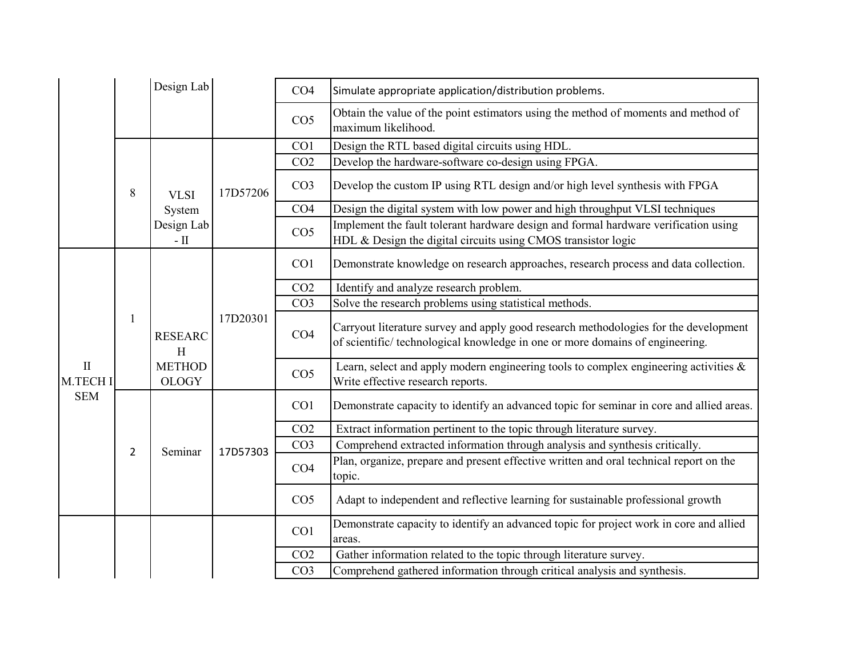|                          |                | Design Lab                                           |          | CO <sub>4</sub> | Simulate appropriate application/distribution problems.                                                                                                              |
|--------------------------|----------------|------------------------------------------------------|----------|-----------------|----------------------------------------------------------------------------------------------------------------------------------------------------------------------|
|                          |                |                                                      |          | CO <sub>5</sub> | Obtain the value of the point estimators using the method of moments and method of<br>maximum likelihood.                                                            |
|                          |                |                                                      |          | CO1             | Design the RTL based digital circuits using HDL.                                                                                                                     |
|                          |                |                                                      | 17D57206 | CO <sub>2</sub> | Develop the hardware-software co-design using FPGA.                                                                                                                  |
|                          | 8              | <b>VLSI</b>                                          |          | CO <sub>3</sub> | Develop the custom IP using RTL design and/or high level synthesis with FPGA                                                                                         |
|                          |                | System                                               |          | CO <sub>4</sub> | Design the digital system with low power and high throughput VLSI techniques                                                                                         |
|                          |                | Design Lab<br>- $\rm II$                             |          | CO <sub>5</sub> | Implement the fault tolerant hardware design and formal hardware verification using<br>HDL & Design the digital circuits using CMOS transistor logic                 |
|                          | 1              |                                                      | 17D20301 | CO <sub>1</sub> | Demonstrate knowledge on research approaches, research process and data collection.                                                                                  |
|                          |                |                                                      |          | CO <sub>2</sub> | Identify and analyze research problem.                                                                                                                               |
|                          |                | <b>RESEARC</b><br>H<br><b>METHOD</b><br><b>OLOGY</b> |          | CO <sub>3</sub> | Solve the research problems using statistical methods.                                                                                                               |
|                          |                |                                                      |          | CO <sub>4</sub> | Carryout literature survey and apply good research methodologies for the development<br>of scientific/technological knowledge in one or more domains of engineering. |
| $\mathbf{I}$<br>M.TECH I |                |                                                      |          | CO <sub>5</sub> | Learn, select and apply modern engineering tools to complex engineering activities $\&$<br>Write effective research reports.                                         |
| <b>SEM</b>               | $\overline{2}$ | Seminar                                              | 17D57303 | CO <sub>1</sub> | Demonstrate capacity to identify an advanced topic for seminar in core and allied areas.                                                                             |
|                          |                |                                                      |          | CO <sub>2</sub> | Extract information pertinent to the topic through literature survey.                                                                                                |
|                          |                |                                                      |          | CO <sub>3</sub> | Comprehend extracted information through analysis and synthesis critically.                                                                                          |
|                          |                |                                                      |          | CO <sub>4</sub> | Plan, organize, prepare and present effective written and oral technical report on the<br>topic.                                                                     |
|                          |                |                                                      |          | CO <sub>5</sub> | Adapt to independent and reflective learning for sustainable professional growth                                                                                     |
|                          |                |                                                      |          | CO1             | Demonstrate capacity to identify an advanced topic for project work in core and allied<br>areas.                                                                     |
|                          |                |                                                      |          | CO <sub>2</sub> | Gather information related to the topic through literature survey.                                                                                                   |
|                          |                |                                                      |          | CO <sub>3</sub> | Comprehend gathered information through critical analysis and synthesis.                                                                                             |